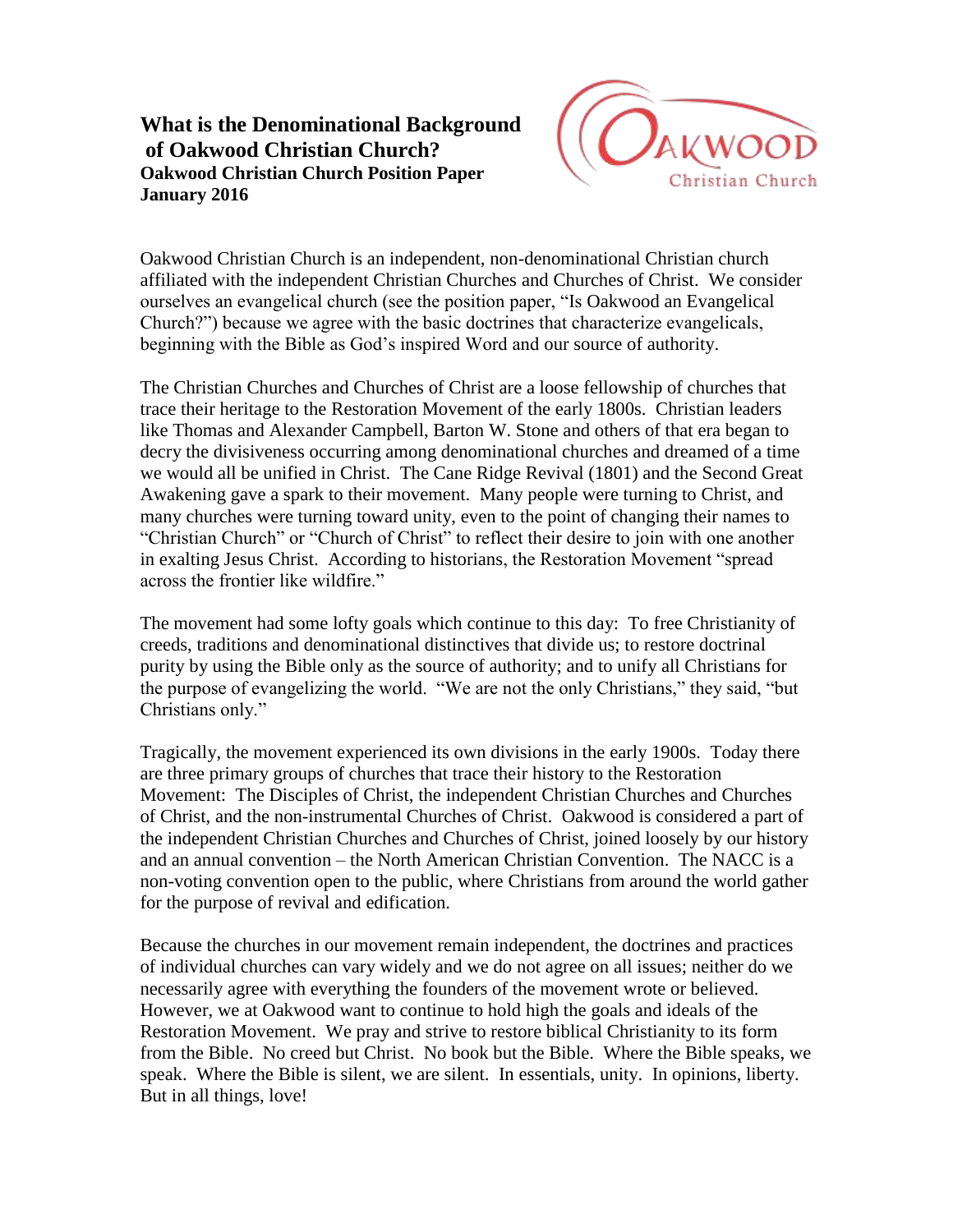## **What is the Denominational Background of Oakwood Christian Church? Oakwood Christian Church Position Paper January 2016**



Oakwood Christian Church is an independent, non-denominational Christian church affiliated with the independent Christian Churches and Churches of Christ. We consider ourselves an evangelical church (see the position paper, "Is Oakwood an Evangelical Church?") because we agree with the basic doctrines that characterize evangelicals, beginning with the Bible as God's inspired Word and our source of authority.

The Christian Churches and Churches of Christ are a loose fellowship of churches that trace their heritage to the Restoration Movement of the early 1800s. Christian leaders like Thomas and Alexander Campbell, Barton W. Stone and others of that era began to decry the divisiveness occurring among denominational churches and dreamed of a time we would all be unified in Christ. The Cane Ridge Revival (1801) and the Second Great Awakening gave a spark to their movement. Many people were turning to Christ, and many churches were turning toward unity, even to the point of changing their names to "Christian Church" or "Church of Christ" to reflect their desire to join with one another in exalting Jesus Christ. According to historians, the Restoration Movement "spread across the frontier like wildfire."

The movement had some lofty goals which continue to this day: To free Christianity of creeds, traditions and denominational distinctives that divide us; to restore doctrinal purity by using the Bible only as the source of authority; and to unify all Christians for the purpose of evangelizing the world. "We are not the only Christians," they said, "but Christians only."

Tragically, the movement experienced its own divisions in the early 1900s. Today there are three primary groups of churches that trace their history to the Restoration Movement: The Disciples of Christ, the independent Christian Churches and Churches of Christ, and the non-instrumental Churches of Christ. Oakwood is considered a part of the independent Christian Churches and Churches of Christ, joined loosely by our history and an annual convention – the North American Christian Convention. The NACC is a non-voting convention open to the public, where Christians from around the world gather for the purpose of revival and edification.

Because the churches in our movement remain independent, the doctrines and practices of individual churches can vary widely and we do not agree on all issues; neither do we necessarily agree with everything the founders of the movement wrote or believed. However, we at Oakwood want to continue to hold high the goals and ideals of the Restoration Movement. We pray and strive to restore biblical Christianity to its form from the Bible. No creed but Christ. No book but the Bible. Where the Bible speaks, we speak. Where the Bible is silent, we are silent. In essentials, unity. In opinions, liberty. But in all things, love!